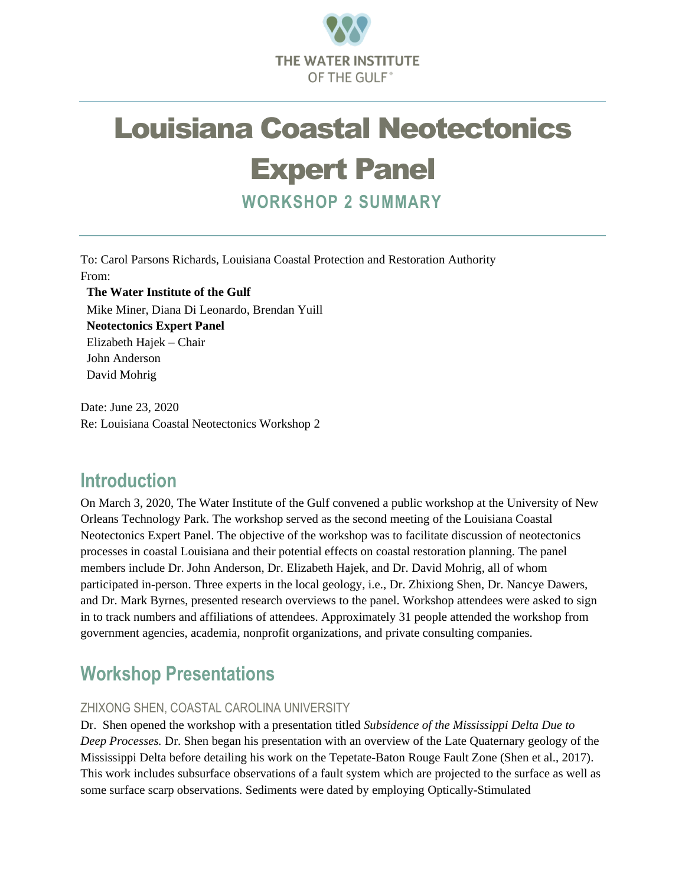

# Louisiana Coastal Neotectonics

## Expert Panel

**WORKSHOP 2 SUMMARY**

To: Carol Parsons Richards, Louisiana Coastal Protection and Restoration Authority From:

**The Water Institute of the Gulf** Mike Miner, Diana Di Leonardo, Brendan Yuill **Neotectonics Expert Panel** Elizabeth Hajek – Chair John Anderson David Mohrig

Date: June 23, 2020 Re: Louisiana Coastal Neotectonics Workshop 2

### **Introduction**

On March 3, 2020, The Water Institute of the Gulf convened a public workshop at the University of New Orleans Technology Park. The workshop served as the second meeting of the Louisiana Coastal Neotectonics Expert Panel. The objective of the workshop was to facilitate discussion of neotectonics processes in coastal Louisiana and their potential effects on coastal restoration planning. The panel members include Dr. John Anderson, Dr. Elizabeth Hajek, and Dr. David Mohrig, all of whom participated in-person. Three experts in the local geology, i.e., Dr. Zhixiong Shen, Dr. Nancye Dawers, and Dr. Mark Byrnes, presented research overviews to the panel. Workshop attendees were asked to sign in to track numbers and affiliations of attendees. Approximately 31 people attended the workshop from government agencies, academia, nonprofit organizations, and private consulting companies.

### **Workshop Presentations**

#### ZHIXONG SHEN, COASTAL CAROLINA UNIVERSITY

Dr. Shen opened the workshop with a presentation titled *Subsidence of the Mississippi Delta Due to Deep Processes.* Dr. Shen began his presentation with an overview of the Late Quaternary geology of the Mississippi Delta before detailing his work on the Tepetate-Baton Rouge Fault Zone (Shen et al., 2017). This work includes subsurface observations of a fault system which are projected to the surface as well as some surface scarp observations. Sediments were dated by employing Optically-Stimulated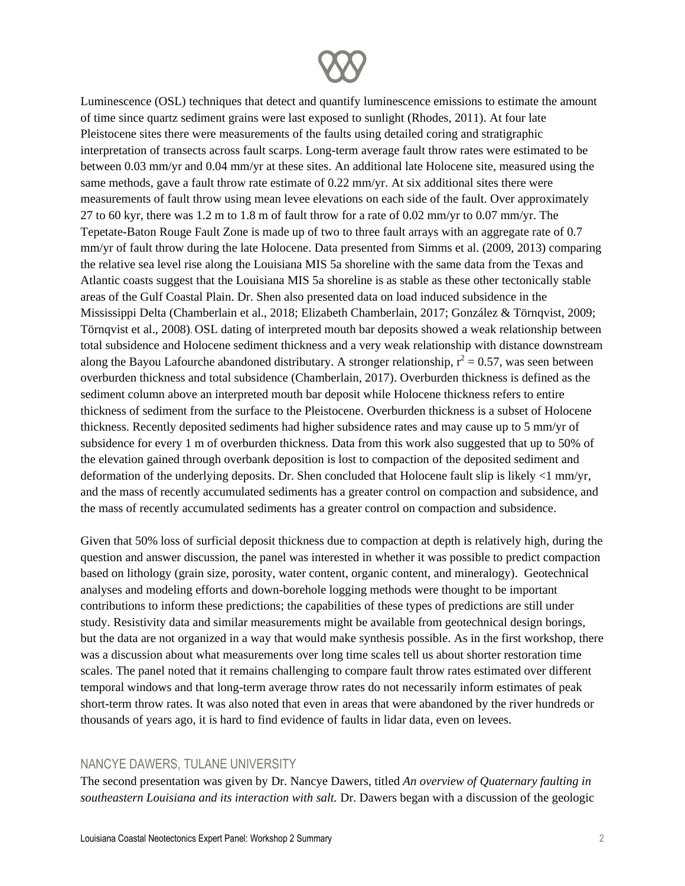

Luminescence (OSL) techniques that detect and quantify luminescence emissions to estimate the amount of time since quartz sediment grains were last exposed to sunlight (Rhodes, 2011). At four late Pleistocene sites there were measurements of the faults using detailed coring and stratigraphic interpretation of transects across fault scarps. Long-term average fault throw rates were estimated to be between 0.03 mm/yr and 0.04 mm/yr at these sites. An additional late Holocene site, measured using the same methods, gave a fault throw rate estimate of 0.22 mm/yr. At six additional sites there were measurements of fault throw using mean levee elevations on each side of the fault. Over approximately 27 to 60 kyr, there was 1.2 m to 1.8 m of fault throw for a rate of 0.02 mm/yr to 0.07 mm/yr. The Tepetate-Baton Rouge Fault Zone is made up of two to three fault arrays with an aggregate rate of 0.7 mm/yr of fault throw during the late Holocene. Data presented from Simms et al. (2009, 2013) comparing the relative sea level rise along the Louisiana MIS 5a shoreline with the same data from the Texas and Atlantic coasts suggest that the Louisiana MIS 5a shoreline is as stable as these other tectonically stable areas of the Gulf Coastal Plain. Dr. Shen also presented data on load induced subsidence in the Mississippi Delta (Chamberlain et al., 2018; Elizabeth Chamberlain, 2017; González & Törnqvist, 2009; Törnqvist et al., 2008). OSL dating of interpreted mouth bar deposits showed a weak relationship between total subsidence and Holocene sediment thickness and a very weak relationship with distance downstream along the Bayou Lafourche abandoned distributary. A stronger relationship,  $r^2 = 0.57$ , was seen between overburden thickness and total subsidence (Chamberlain, 2017). Overburden thickness is defined as the sediment column above an interpreted mouth bar deposit while Holocene thickness refers to entire thickness of sediment from the surface to the Pleistocene. Overburden thickness is a subset of Holocene thickness. Recently deposited sediments had higher subsidence rates and may cause up to 5 mm/yr of subsidence for every 1 m of overburden thickness. Data from this work also suggested that up to 50% of the elevation gained through overbank deposition is lost to compaction of the deposited sediment and deformation of the underlying deposits. Dr. Shen concluded that Holocene fault slip is likely <1 mm/yr, and the mass of recently accumulated sediments has a greater control on compaction and subsidence, and the mass of recently accumulated sediments has a greater control on compaction and subsidence.

Given that 50% loss of surficial deposit thickness due to compaction at depth is relatively high, during the question and answer discussion, the panel was interested in whether it was possible to predict compaction based on lithology (grain size, porosity, water content, organic content, and mineralogy). Geotechnical analyses and modeling efforts and down-borehole logging methods were thought to be important contributions to inform these predictions; the capabilities of these types of predictions are still under study. Resistivity data and similar measurements might be available from geotechnical design borings, but the data are not organized in a way that would make synthesis possible. As in the first workshop, there was a discussion about what measurements over long time scales tell us about shorter restoration time scales. The panel noted that it remains challenging to compare fault throw rates estimated over different temporal windows and that long-term average throw rates do not necessarily inform estimates of peak short-term throw rates. It was also noted that even in areas that were abandoned by the river hundreds or thousands of years ago, it is hard to find evidence of faults in lidar data, even on levees.

#### NANCYE DAWERS, TULANE UNIVERSITY

The second presentation was given by Dr. Nancye Dawers, titled *An overview of Quaternary faulting in southeastern Louisiana and its interaction with salt.* Dr. Dawers began with a discussion of the geologic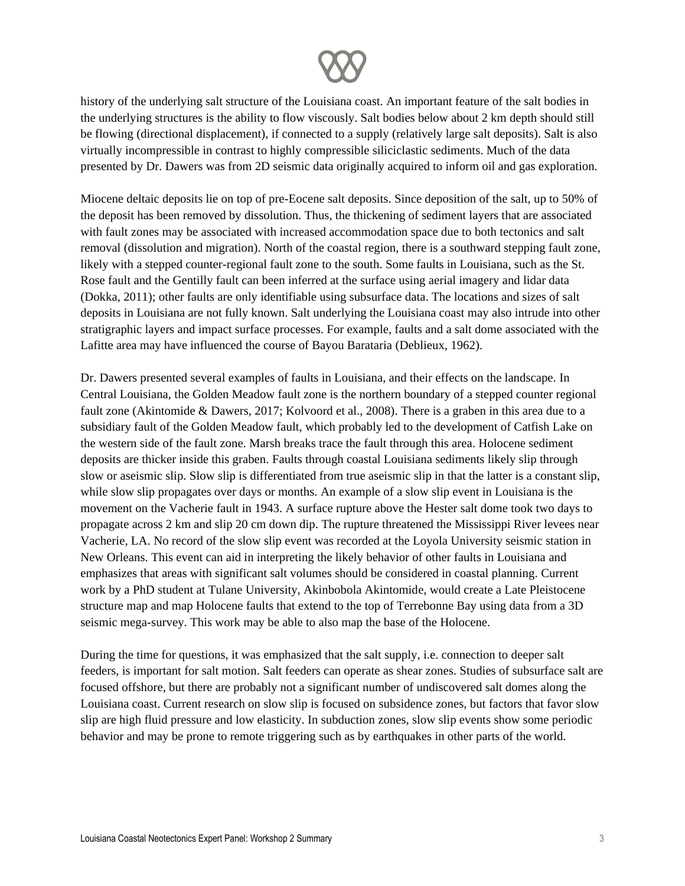

history of the underlying salt structure of the Louisiana coast. An important feature of the salt bodies in the underlying structures is the ability to flow viscously. Salt bodies below about 2 km depth should still be flowing (directional displacement), if connected to a supply (relatively large salt deposits). Salt is also virtually incompressible in contrast to highly compressible siliciclastic sediments. Much of the data presented by Dr. Dawers was from 2D seismic data originally acquired to inform oil and gas exploration.

Miocene deltaic deposits lie on top of pre-Eocene salt deposits. Since deposition of the salt, up to 50% of the deposit has been removed by dissolution. Thus, the thickening of sediment layers that are associated with fault zones may be associated with increased accommodation space due to both tectonics and salt removal (dissolution and migration). North of the coastal region, there is a southward stepping fault zone, likely with a stepped counter-regional fault zone to the south. Some faults in Louisiana, such as the St. Rose fault and the Gentilly fault can been inferred at the surface using aerial imagery and lidar data (Dokka, 2011); other faults are only identifiable using subsurface data. The locations and sizes of salt deposits in Louisiana are not fully known. Salt underlying the Louisiana coast may also intrude into other stratigraphic layers and impact surface processes. For example, faults and a salt dome associated with the Lafitte area may have influenced the course of Bayou Barataria (Deblieux, 1962).

Dr. Dawers presented several examples of faults in Louisiana, and their effects on the landscape. In Central Louisiana, the Golden Meadow fault zone is the northern boundary of a stepped counter regional fault zone (Akintomide & Dawers, 2017; Kolvoord et al., 2008). There is a graben in this area due to a subsidiary fault of the Golden Meadow fault, which probably led to the development of Catfish Lake on the western side of the fault zone. Marsh breaks trace the fault through this area. Holocene sediment deposits are thicker inside this graben. Faults through coastal Louisiana sediments likely slip through slow or aseismic slip. Slow slip is differentiated from true aseismic slip in that the latter is a constant slip, while slow slip propagates over days or months. An example of a slow slip event in Louisiana is the movement on the Vacherie fault in 1943. A surface rupture above the Hester salt dome took two days to propagate across 2 km and slip 20 cm down dip. The rupture threatened the Mississippi River levees near Vacherie, LA. No record of the slow slip event was recorded at the Loyola University seismic station in New Orleans. This event can aid in interpreting the likely behavior of other faults in Louisiana and emphasizes that areas with significant salt volumes should be considered in coastal planning. Current work by a PhD student at Tulane University, Akinbobola Akintomide, would create a Late Pleistocene structure map and map Holocene faults that extend to the top of Terrebonne Bay using data from a 3D seismic mega-survey. This work may be able to also map the base of the Holocene.

During the time for questions, it was emphasized that the salt supply, i.e. connection to deeper salt feeders, is important for salt motion. Salt feeders can operate as shear zones. Studies of subsurface salt are focused offshore, but there are probably not a significant number of undiscovered salt domes along the Louisiana coast. Current research on slow slip is focused on subsidence zones, but factors that favor slow slip are high fluid pressure and low elasticity. In subduction zones, slow slip events show some periodic behavior and may be prone to remote triggering such as by earthquakes in other parts of the world.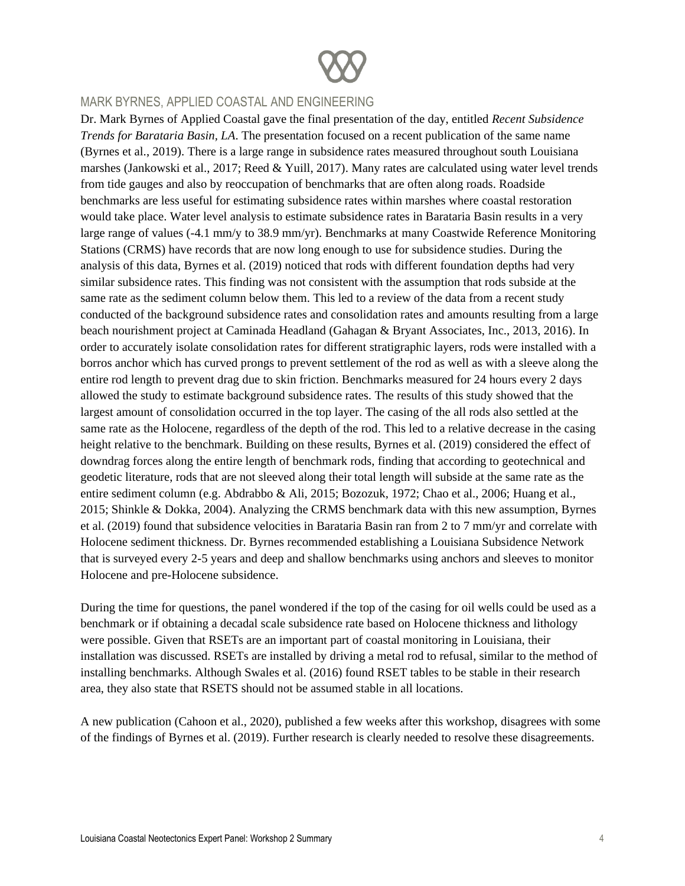

#### MARK BYRNES, APPLIED COASTAL AND ENGINEERING

Dr. Mark Byrnes of Applied Coastal gave the final presentation of the day, entitled *Recent Subsidence Trends for Barataria Basin, LA*. The presentation focused on a recent publication of the same name (Byrnes et al., 2019). There is a large range in subsidence rates measured throughout south Louisiana marshes (Jankowski et al., 2017; Reed & Yuill, 2017). Many rates are calculated using water level trends from tide gauges and also by reoccupation of benchmarks that are often along roads. Roadside benchmarks are less useful for estimating subsidence rates within marshes where coastal restoration would take place. Water level analysis to estimate subsidence rates in Barataria Basin results in a very large range of values (-4.1 mm/y to 38.9 mm/yr). Benchmarks at many Coastwide Reference Monitoring Stations (CRMS) have records that are now long enough to use for subsidence studies. During the analysis of this data, Byrnes et al. (2019) noticed that rods with different foundation depths had very similar subsidence rates. This finding was not consistent with the assumption that rods subside at the same rate as the sediment column below them. This led to a review of the data from a recent study conducted of the background subsidence rates and consolidation rates and amounts resulting from a large beach nourishment project at Caminada Headland (Gahagan & Bryant Associates, Inc., 2013, 2016). In order to accurately isolate consolidation rates for different stratigraphic layers, rods were installed with a borros anchor which has curved prongs to prevent settlement of the rod as well as with a sleeve along the entire rod length to prevent drag due to skin friction. Benchmarks measured for 24 hours every 2 days allowed the study to estimate background subsidence rates. The results of this study showed that the largest amount of consolidation occurred in the top layer. The casing of the all rods also settled at the same rate as the Holocene, regardless of the depth of the rod. This led to a relative decrease in the casing height relative to the benchmark. Building on these results, Byrnes et al. (2019) considered the effect of downdrag forces along the entire length of benchmark rods, finding that according to geotechnical and geodetic literature, rods that are not sleeved along their total length will subside at the same rate as the entire sediment column (e.g. Abdrabbo & Ali, 2015; Bozozuk, 1972; Chao et al., 2006; Huang et al., 2015; Shinkle & Dokka, 2004). Analyzing the CRMS benchmark data with this new assumption, Byrnes et al. (2019) found that subsidence velocities in Barataria Basin ran from 2 to 7 mm/yr and correlate with Holocene sediment thickness. Dr. Byrnes recommended establishing a Louisiana Subsidence Network that is surveyed every 2-5 years and deep and shallow benchmarks using anchors and sleeves to monitor Holocene and pre-Holocene subsidence.

During the time for questions, the panel wondered if the top of the casing for oil wells could be used as a benchmark or if obtaining a decadal scale subsidence rate based on Holocene thickness and lithology were possible. Given that RSETs are an important part of coastal monitoring in Louisiana, their installation was discussed. RSETs are installed by driving a metal rod to refusal, similar to the method of installing benchmarks. Although Swales et al. (2016) found RSET tables to be stable in their research area, they also state that RSETS should not be assumed stable in all locations.

A new publication (Cahoon et al., 2020), published a few weeks after this workshop, disagrees with some of the findings of Byrnes et al. (2019). Further research is clearly needed to resolve these disagreements.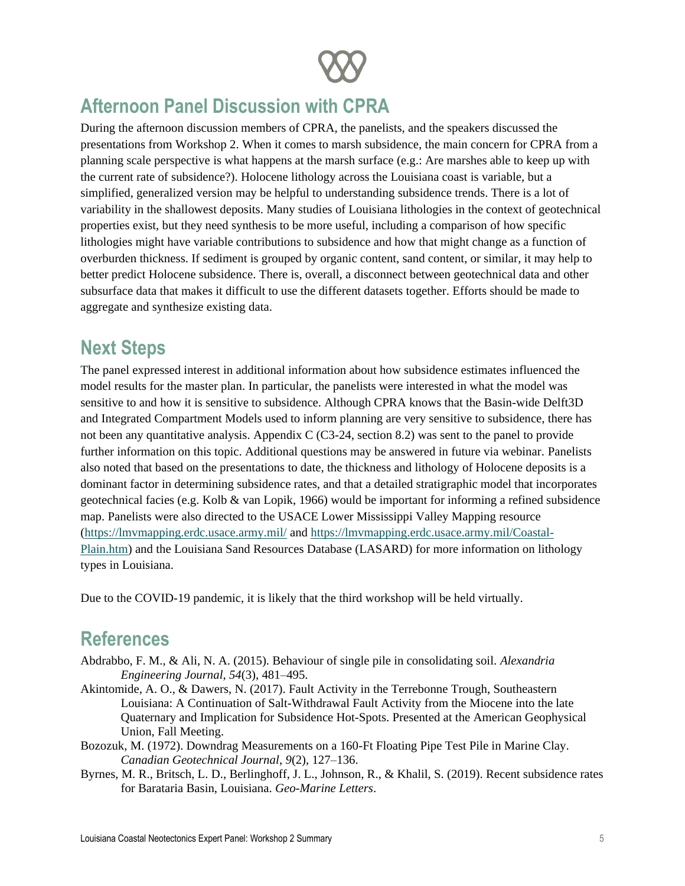

### **Afternoon Panel Discussion with CPRA**

During the afternoon discussion members of CPRA, the panelists, and the speakers discussed the presentations from Workshop 2. When it comes to marsh subsidence, the main concern for CPRA from a planning scale perspective is what happens at the marsh surface (e.g.: Are marshes able to keep up with the current rate of subsidence?). Holocene lithology across the Louisiana coast is variable, but a simplified, generalized version may be helpful to understanding subsidence trends. There is a lot of variability in the shallowest deposits. Many studies of Louisiana lithologies in the context of geotechnical properties exist, but they need synthesis to be more useful, including a comparison of how specific lithologies might have variable contributions to subsidence and how that might change as a function of overburden thickness. If sediment is grouped by organic content, sand content, or similar, it may help to better predict Holocene subsidence. There is, overall, a disconnect between geotechnical data and other subsurface data that makes it difficult to use the different datasets together. Efforts should be made to aggregate and synthesize existing data.

### **Next Steps**

The panel expressed interest in additional information about how subsidence estimates influenced the model results for the master plan. In particular, the panelists were interested in what the model was sensitive to and how it is sensitive to subsidence. Although CPRA knows that the Basin-wide Delft3D and Integrated Compartment Models used to inform planning are very sensitive to subsidence, there has not been any quantitative analysis. Appendix C (C3-24, section 8.2) was sent to the panel to provide further information on this topic. Additional questions may be answered in future via webinar. Panelists also noted that based on the presentations to date, the thickness and lithology of Holocene deposits is a dominant factor in determining subsidence rates, and that a detailed stratigraphic model that incorporates geotechnical facies (e.g. Kolb & van Lopik, 1966) would be important for informing a refined subsidence map. Panelists were also directed to the USACE Lower Mississippi Valley Mapping resource [\(https://lmvmapping.erdc.usace.army.mil/](https://lmvmapping.erdc.usace.army.mil/) and [https://lmvmapping.erdc.usace.army.mil/Coastal-](https://lmvmapping.erdc.usace.army.mil/Coastal-Plain.htm)[Plain.htm\)](https://lmvmapping.erdc.usace.army.mil/Coastal-Plain.htm) and the Louisiana Sand Resources Database (LASARD) for more information on lithology types in Louisiana.

Due to the COVID-19 pandemic, it is likely that the third workshop will be held virtually.

### **References**

- Abdrabbo, F. M., & Ali, N. A. (2015). Behaviour of single pile in consolidating soil. *Alexandria Engineering Journal*, *54*(3), 481–495.
- Akintomide, A. O., & Dawers, N. (2017). Fault Activity in the Terrebonne Trough, Southeastern Louisiana: A Continuation of Salt-Withdrawal Fault Activity from the Miocene into the late Quaternary and Implication for Subsidence Hot-Spots. Presented at the American Geophysical Union, Fall Meeting.
- Bozozuk, M. (1972). Downdrag Measurements on a 160-Ft Floating Pipe Test Pile in Marine Clay. *Canadian Geotechnical Journal*, *9*(2), 127–136.
- Byrnes, M. R., Britsch, L. D., Berlinghoff, J. L., Johnson, R., & Khalil, S. (2019). Recent subsidence rates for Barataria Basin, Louisiana. *Geo-Marine Letters*.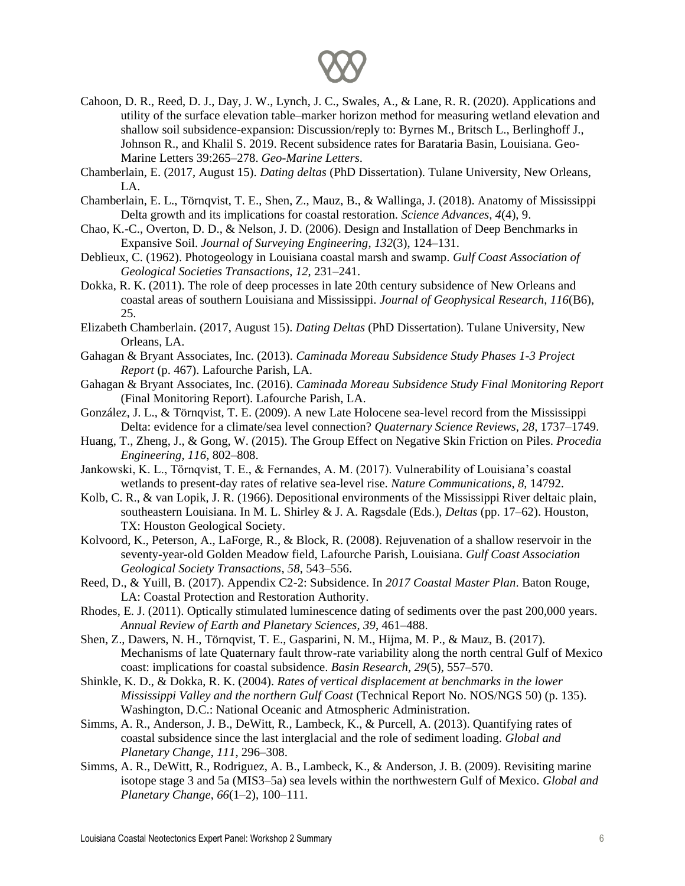

- Cahoon, D. R., Reed, D. J., Day, J. W., Lynch, J. C., Swales, A., & Lane, R. R. (2020). Applications and utility of the surface elevation table–marker horizon method for measuring wetland elevation and shallow soil subsidence-expansion: Discussion/reply to: Byrnes M., Britsch L., Berlinghoff J., Johnson R., and Khalil S. 2019. Recent subsidence rates for Barataria Basin, Louisiana. Geo-Marine Letters 39:265–278. *Geo-Marine Letters*.
- Chamberlain, E. (2017, August 15). *Dating deltas* (PhD Dissertation). Tulane University, New Orleans, LA.
- Chamberlain, E. L., Törnqvist, T. E., Shen, Z., Mauz, B., & Wallinga, J. (2018). Anatomy of Mississippi Delta growth and its implications for coastal restoration. *Science Advances*, *4*(4), 9.
- Chao, K.-C., Overton, D. D., & Nelson, J. D. (2006). Design and Installation of Deep Benchmarks in Expansive Soil. *Journal of Surveying Engineering*, *132*(3), 124–131.
- Deblieux, C. (1962). Photogeology in Louisiana coastal marsh and swamp. *Gulf Coast Association of Geological Societies Transactions*, *12*, 231–241.
- Dokka, R. K. (2011). The role of deep processes in late 20th century subsidence of New Orleans and coastal areas of southern Louisiana and Mississippi. *Journal of Geophysical Research*, *116*(B6), 25.
- Elizabeth Chamberlain. (2017, August 15). *Dating Deltas* (PhD Dissertation). Tulane University, New Orleans, LA.
- Gahagan & Bryant Associates, Inc. (2013). *Caminada Moreau Subsidence Study Phases 1-3 Project Report* (p. 467). Lafourche Parish, LA.
- Gahagan & Bryant Associates, Inc. (2016). *Caminada Moreau Subsidence Study Final Monitoring Report* (Final Monitoring Report). Lafourche Parish, LA.
- González, J. L., & Törnqvist, T. E. (2009). A new Late Holocene sea-level record from the Mississippi Delta: evidence for a climate/sea level connection? *Quaternary Science Reviews*, *28*, 1737–1749.
- Huang, T., Zheng, J., & Gong, W. (2015). The Group Effect on Negative Skin Friction on Piles. *Procedia Engineering*, *116*, 802–808.
- Jankowski, K. L., Törnqvist, T. E., & Fernandes, A. M. (2017). Vulnerability of Louisiana's coastal wetlands to present-day rates of relative sea-level rise. *Nature Communications*, *8*, 14792.
- Kolb, C. R., & van Lopik, J. R. (1966). Depositional environments of the Mississippi River deltaic plain, southeastern Louisiana. In M. L. Shirley & J. A. Ragsdale (Eds.), *Deltas* (pp. 17–62). Houston, TX: Houston Geological Society.
- Kolvoord, K., Peterson, A., LaForge, R., & Block, R. (2008). Rejuvenation of a shallow reservoir in the seventy-year-old Golden Meadow field, Lafourche Parish, Louisiana. *Gulf Coast Association Geological Society Transactions*, *58*, 543–556.
- Reed, D., & Yuill, B. (2017). Appendix C2-2: Subsidence. In *2017 Coastal Master Plan*. Baton Rouge, LA: Coastal Protection and Restoration Authority.
- Rhodes, E. J. (2011). Optically stimulated luminescence dating of sediments over the past 200,000 years. *Annual Review of Earth and Planetary Sciences*, *39*, 461–488.
- Shen, Z., Dawers, N. H., Törnqvist, T. E., Gasparini, N. M., Hijma, M. P., & Mauz, B. (2017). Mechanisms of late Quaternary fault throw-rate variability along the north central Gulf of Mexico coast: implications for coastal subsidence. *Basin Research*, *29*(5), 557–570.
- Shinkle, K. D., & Dokka, R. K. (2004). *Rates of vertical displacement at benchmarks in the lower Mississippi Valley and the northern Gulf Coast* (Technical Report No. NOS/NGS 50) (p. 135). Washington, D.C.: National Oceanic and Atmospheric Administration.
- Simms, A. R., Anderson, J. B., DeWitt, R., Lambeck, K., & Purcell, A. (2013). Quantifying rates of coastal subsidence since the last interglacial and the role of sediment loading. *Global and Planetary Change*, *111*, 296–308.
- Simms, A. R., DeWitt, R., Rodriguez, A. B., Lambeck, K., & Anderson, J. B. (2009). Revisiting marine isotope stage 3 and 5a (MIS3–5a) sea levels within the northwestern Gulf of Mexico. *Global and Planetary Change*, *66*(1–2), 100–111.